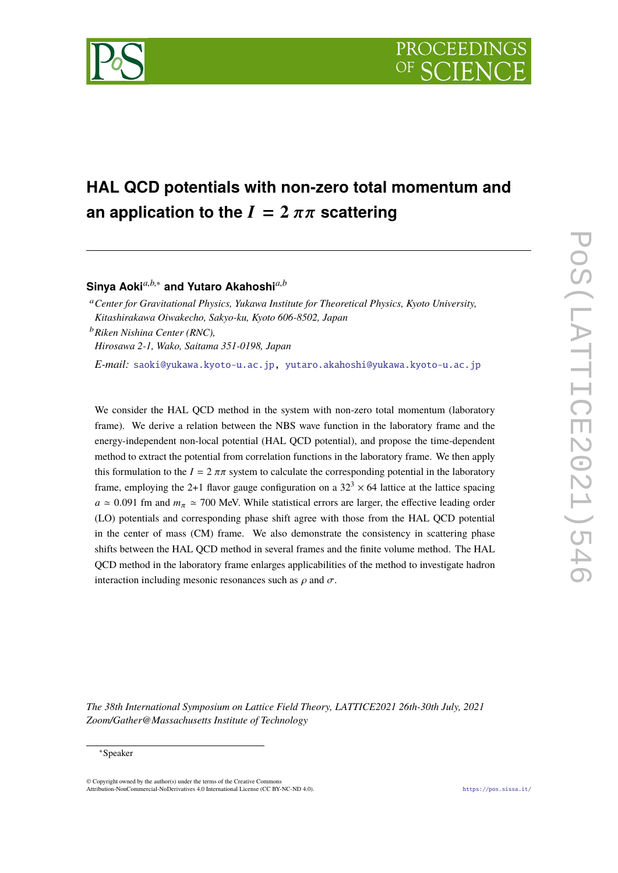

# **HAL QCD potentials with non-zero total momentum and an application to the**  $I = 2 \pi \pi$  **scattering**

**Sinya Aoki***a*,*b*,<sup>∗</sup> **and Yutaro Akahoshi***a*,*<sup>b</sup>*

<sup>a</sup>*Center for Gravitational Physics, Yukawa Institute for Theoretical Physics, Kyoto University, Kitashirakawa Oiwakecho, Sakyo-ku, Kyoto 606-8502, Japan*

<sup>b</sup>*Riken Nishina Center (RNC),*

*Hirosawa 2-1, Wako, Saitama 351-0198, Japan*

*E-mail:* [saoki@yukawa.kyoto-u.ac.jp,](mailto:saoki@yukawa.kyoto-u.ac.jp) [yutaro.akahoshi@yukawa.kyoto-u.ac.jp](mailto:yutaro.akahoshi@yukawa.kyoto-u.ac.jp)

We consider the HAL QCD method in the system with non-zero total momentum (laboratory frame). We derive a relation between the NBS wave function in the laboratory frame and the energy-independent non-local potential (HAL QCD potential), and propose the time-dependent method to extract the potential from correlation functions in the laboratory frame. We then apply this formulation to the  $I = 2 \pi \pi$  system to calculate the corresponding potential in the laboratory frame, employing the 2+1 flavor gauge configuration on a  $32<sup>3</sup> \times 64$  lattice at the lattice spacing  $a \approx 0.091$  fm and  $m_\pi \approx 700$  MeV. While statistical errors are larger, the effective leading order (LO) potentials and corresponding phase shift agree with those from the HAL QCD potential in the center of mass (CM) frame. We also demonstrate the consistency in scattering phase shifts between the HAL QCD method in several frames and the finite volume method. The HAL QCD method in the laboratory frame enlarges applicabilities of the method to investigate hadron interaction including mesonic resonances such as  $\rho$  and  $\sigma$ .

*The 38th International Symposium on Lattice Field Theory, LATTICE2021 26th-30th July, 2021 Zoom/Gather@Massachusetts Institute of Technology*

© Copyright owned by the author(s) under the terms of the Creative Commons Attribution-NonCommercial-NoDerivatives 4.0 International License (CC BY-NC-ND 4.0). <https://pos.sissa.it/>

<sup>∗</sup>Speaker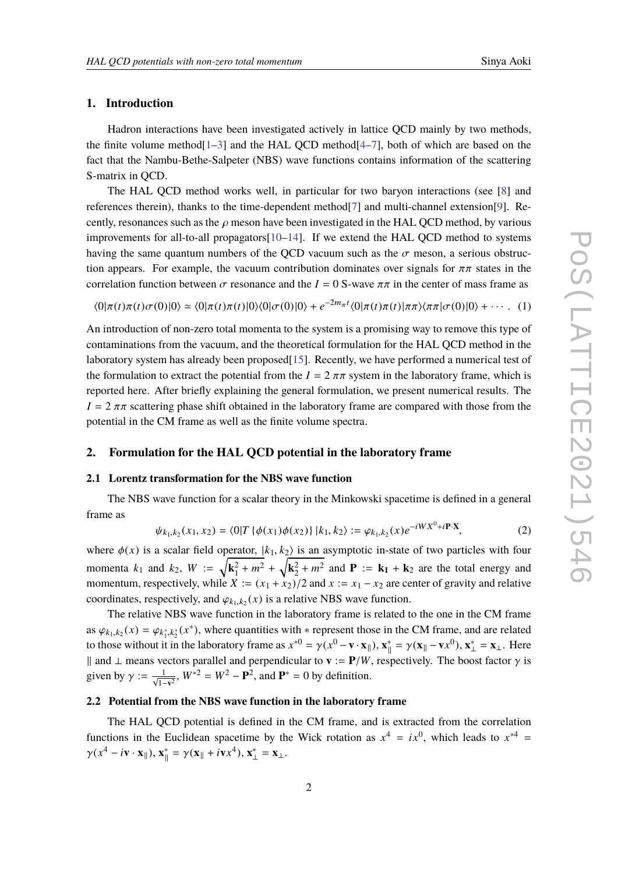## **1. Introduction**

Hadron interactions have been investigated actively in lattice QCD mainly by two methods, the finite volume method $[1-3]$  $[1-3]$  and the HAL OCD method $[4-7]$  $[4-7]$ , both of which are based on the fact that the Nambu-Bethe-Salpeter (NBS) wave functions contains information of the scattering S-matrix in QCD.

The HAL QCD method works well, in particular for two baryon interactions (see [\[8\]](#page-7-1) and references therein), thanks to the time-dependent method[\[7\]](#page-7-0) and multi-channel extension[\[9\]](#page-7-2). Recently, resonances such as the  $\rho$  meson have been investigated in the HAL QCD method, by various improvements for all-to-all propagators[\[10](#page-7-3)[–14\]](#page-7-4). If we extend the HAL QCD method to systems having the same quantum numbers of the QCD vacuum such as the  $\sigma$  meson, a serious obstruction appears. For example, the vacuum contribution dominates over signals for  $\pi\pi$  states in the correlation function between  $\sigma$  resonance and the  $I = 0$  S-wave  $\pi \pi$  in the center of mass frame as

 $\langle 0|\pi(t)\pi(t)\sigma(0)|0\rangle \simeq \langle 0|\pi(t)\pi(t)|0\rangle\langle 0|\sigma(0)|0\rangle + e^{-2m_{\pi}t}\langle 0|\pi(t)\pi(t)|\pi\pi\rangle\langle \pi\pi|\sigma(0)|0\rangle + \cdots$  (1)

An introduction of non-zero total momenta to the system is a promising way to remove this type of contaminations from the vacuum, and the theoretical formulation for the HAL QCD method in the laboratory system has already been proposed[\[15\]](#page-7-5). Recently, we have performed a numerical test of the formulation to extract the potential from the  $I = 2 \pi \pi$  system in the laboratory frame, which is reported here. After briefly explaining the general formulation, we present numerical results. The  $I = 2 \pi \pi$  scattering phase shift obtained in the laboratory frame are compared with those from the potential in the CM frame as well as the finite volume spectra.

# **2. Formulation for the HAL QCD potential in the laboratory frame**

#### **2.1 Lorentz transformation for the NBS wave function**

The NBS wave function for a scalar theory in the Minkowski spacetime is defined in a general frame as

$$
\psi_{k_1,k_2}(x_1,x_2) = \langle 0|T\{\phi(x_1)\phi(x_2)\}|k_1,k_2\rangle := \varphi_{k_1,k_2}(x)e^{-iWX^0+i\mathbf{P}\cdot\mathbf{X}},\tag{2}
$$

where  $\phi(x)$  is a scalar field operator,  $|k_1, k_2\rangle$  is an asymptotic in-state of two particles with four momenta  $k_1$  and  $k_2$ ,  $W := \sqrt{k_1^2 + m^2} + \sqrt{k_2^2 + m^2}$  and  $P := k_1 + k_2$  are the total energy and momentum, respectively, while  $X := (x_1 + x_2)/2$  and  $x := x_1 - x_2$  are center of gravity and relative coordinates, respectively, and  $\varphi_{k_1,k_2}(x)$  is a relative NBS wave function.<br>The relative NBS wave function in the laboratory frame is related.

The relative NBS wave function in the laboratory frame is related to the one in the CM frame as  $\varphi_{k_1,k_2}(x) = \varphi_{k_1^*,k_2^*}(x^*)$ , where quantities with  $*$  represent those in the CM frame, and are related to those without it in the laboratory frame as  $x^{*0} = x(x^0 - x^*) - x^* = x(x - x^{(0)}) - x^* = x - H$ as  $\varphi_{k_1,k_2}(x) = \varphi_{k_1^*,k_2^*}(x)$ , where quantities with \* represent those in the CM frame, and are related<br>to those without it in the laboratory frame as  $x^{*0} = \gamma(x^0 - \mathbf{v} \cdot \mathbf{x}_{\parallel})$ ,  $\mathbf{x}_{\parallel}^* = \gamma(\mathbf{x}_{\parallel} - \mathbf{v}x^$ || and ⊥ means vectors parallel and perpendicular to **v** := **P**/*W*, respectively. The boost factor  $\gamma$  is given by  $\gamma := \frac{1}{\sqrt{1-\mathbf{v}^2}}$ ,  $W^{*2} = W^2 - \mathbf{P}^2$ , and  $\mathbf{P}^* = 0$  by definition.

## **2.2 Potential from the NBS wave function in the laboratory frame**

The HAL QCD potential is defined in the CM frame, and is extracted from the correlation functions in the Euclidean spacetime by the Wick rotation as  $x^4 = ix^0$ , which leads to  $x^{*4} =$  $\gamma(x^4 - i\mathbf{v} \cdot \mathbf{x}_{\parallel}), \mathbf{x}_{\parallel}^* = \gamma(\mathbf{x}_{\parallel} + i\mathbf{v}x^4), \mathbf{x}_{\perp}^* = \mathbf{x}_{\perp}.$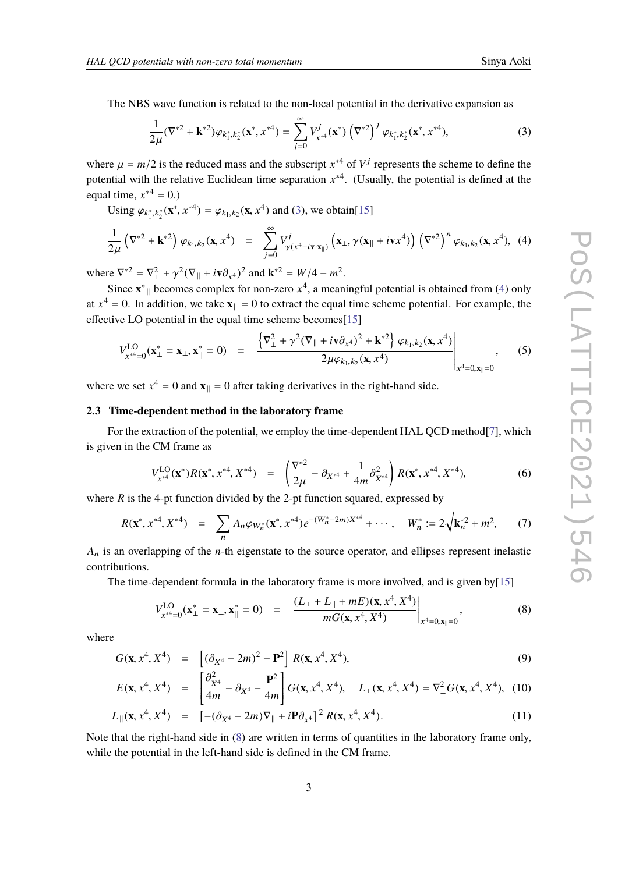The NBS wave function is related to the non-local potential in the derivative expansion as

<span id="page-2-0"></span>
$$
\frac{1}{2\mu}(\nabla^{*2} + \mathbf{k}^{*2})\varphi_{k_1^*,k_2^*}(\mathbf{x}^*,x^{*4}) = \sum_{j=0}^{\infty} V_{x^{*4}}^j(\mathbf{x}^*)\left(\nabla^{*2}\right)^j \varphi_{k_1^*,k_2^*}(\mathbf{x}^*,x^{*4}),\tag{3}
$$

where  $\mu = m/2$  is the reduced mass and the subscript  $x^{*4}$  of  $V^j$  represents the scheme to define the notation with the relative Evolution rime conception  $x^{*4}$ . (Havelly, the notation of the scheme of the potential with the relative Euclidean time separation  $x^{*4}$ . (Usually, the potential is defined at the equal time,  $x^{*4} = 0.$ )

Using  $\varphi_{k_1^*,k_2^*}(\mathbf{x}^*, x^{*4}) = \varphi_{k_1,k_2}(\mathbf{x}, x^4)$  and [\(3\)](#page-2-0), we obtain[\[15\]](#page-7-5)

<span id="page-2-1"></span>
$$
\frac{1}{2\mu} \left( \nabla^{*2} + \mathbf{k}^{*2} \right) \varphi_{k_1, k_2}(\mathbf{x}, x^4) = \sum_{j=0}^{\infty} V_{\gamma(x^4 - i\mathbf{v} \cdot \mathbf{x}_{\parallel})}^j \left( \mathbf{x}_{\perp}, \gamma(\mathbf{x}_{\parallel} + i\mathbf{v} x^4) \right) \left( \nabla^{*2} \right)^n \varphi_{k_1, k_2}(\mathbf{x}, x^4), \tag{4}
$$

where  $\nabla^*{}^2 = \nabla^2_{\perp} + \gamma^2 (\nabla_{\parallel} + i\nabla \partial_{x^4})^2$  and  $\mathbf{k}^*{}^2 = W/4 - m^2$ .

Since  $\mathbf{x}^*$  becomes complex for non-zero  $x^4$ , a meaningful potential is obtained from [\(4\)](#page-2-1) only at  $x^4 = 0$ . In addition, we take  $\mathbf{x}_{\parallel} = 0$  to extract the equal time scheme potential. For example, the effective LO potential in the equal time scheme becomes[\[15\]](#page-7-5) ( )

$$
V_{x^{*4}=0}^{\text{LO}}(\mathbf{x}_{\perp}^{*}=\mathbf{x}_{\perp},\mathbf{x}_{\parallel}^{*}=0) = \frac{\left\{\nabla_{\perp}^{2} + \gamma^{2}(\nabla_{\parallel} + i\mathbf{v}\partial_{x^{4}})^{2} + \mathbf{k}^{*2}\right\}\varphi_{k_{1},k_{2}}(\mathbf{x},x^{4})}{2\mu\varphi_{k_{1},k_{2}}(\mathbf{x},x^{4})}\Bigg|_{x^{4}=0,\mathbf{x}_{\parallel}=0}, \quad (5)
$$

where we set  $x^4 = 0$  and  $\mathbf{x}_{\parallel} = 0$  after taking derivatives in the right-hand side.

## **2.3 Time-dependent method in the laboratory frame**

For the extraction of the potential, we employ the time-dependent HAL QCD method<sup>[\[7\]](#page-7-0)</sup>, which is given in the CM frame as

$$
V_{x^{*4}}^{\text{LO}}(\mathbf{x}^*)R(\mathbf{x}^*, x^{*4}, X^{*4}) = \left(\frac{\nabla^{*2}}{2\mu} - \partial_{X^{*4}} + \frac{1}{4m}\partial_{X^{*4}}^2\right)R(\mathbf{x}^*, x^{*4}, X^{*4}),\tag{6}
$$

where *R* is the 4-pt function divided by the 2-pt function squared, expressed by

$$
R(\mathbf{x}^*, x^{*4}, X^{*4}) = \sum_{n} A_n \varphi_{W_n^*}(\mathbf{x}^*, x^{*4}) e^{-(W_n^* - 2m)X^{*4}} + \cdots, \quad W_n^* := 2\sqrt{\mathbf{k}_n^{*2} + m^2}, \tag{7}
$$

*A*<sup>n</sup> is an overlapping of the *n*-th eigenstate to the source operator, and ellipses represent inelastic contributions.

The time-dependent formula in the laboratory frame is more involved, and is given by[\[15\]](#page-7-5)

<span id="page-2-2"></span>
$$
V_{x^{*4}=0}^{\text{LO}}(\mathbf{x}_{\perp}^* = \mathbf{x}_{\perp}, \mathbf{x}_{\parallel}^* = 0) = \frac{(L_{\perp} + L_{\parallel} + mE)(\mathbf{x}, x^4, X^4)}{mG(\mathbf{x}, x^4, X^4)}\bigg|_{x^4=0, \mathbf{x}_{\parallel}=0},
$$
(8)

where

$$
G(\mathbf{x}, x^4, X^4) = [(\partial_{X^4} - 2m)^2 - \mathbf{P}^2] R(\mathbf{x}, x^4, X^4),
$$
\n(9)

$$
E(\mathbf{x}, x^4, X^4) = \left[ \frac{\partial_{x^4}^2}{4m} - \partial_{X^4} - \frac{\mathbf{P}^2}{4m} \right] G(\mathbf{x}, x^4, X^4), \quad L_{\perp}(\mathbf{x}, x^4, X^4) = \nabla_{\perp}^2 G(\mathbf{x}, x^4, X^4), \quad (10)
$$

$$
L_{\parallel}(\mathbf{x}, x^4, X^4) = [-(\partial_{X^4} - 2m)\nabla_{\parallel} + i\mathbf{P}\partial_{x^4}]^2 R(\mathbf{x}, x^4, X^4).
$$
 (11)

Note that the right-hand side in [\(8\)](#page-2-2) are written in terms of quantities in the laboratory frame only, while the potential in the left-hand side is defined in the CM frame.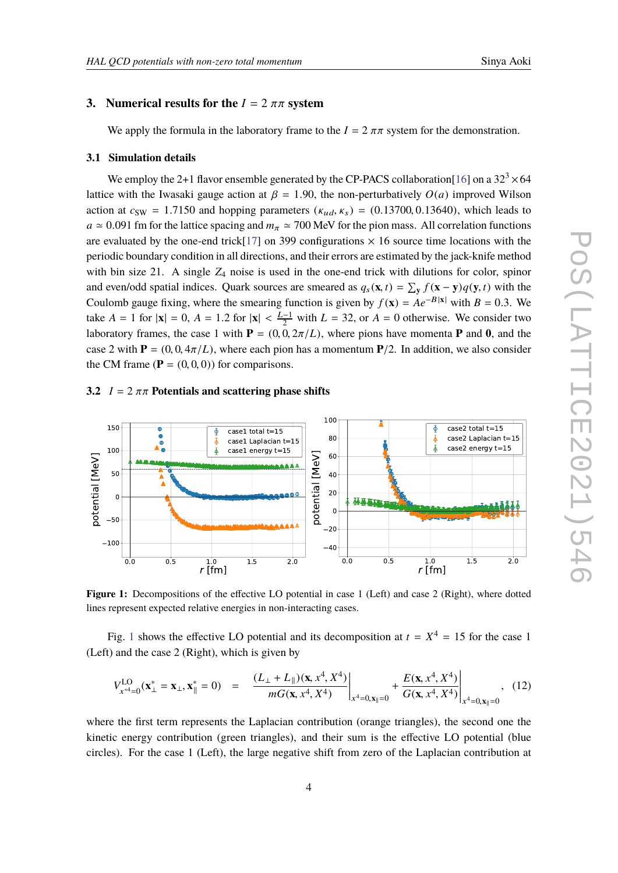# **3.** Numerical results for the  $I = 2 \pi \pi$  system

We apply the formula in the laboratory frame to the  $I = 2 \pi \pi$  system for the demonstration.

#### **3.1 Simulation details**

We employ the 2+1 flavor ensemble generated by the CP-PACS collaboration[\[16\]](#page-7-6) on a  $32<sup>3</sup> \times 64$ lattice with the Iwasaki gauge action at  $\beta = 1.90$ , the non-perturbatively  $O(a)$  improved Wilson action at  $c_{SW} = 1.7150$  and hopping parameters  $(\kappa_{ud}, \kappa_s) = (0.13700, 0.13640)$ , which leads to  $a \approx 0.091$  fm for the lattice spacing and  $m_\pi \approx 700$  MeV for the pion mass. All correlation functions are evaluated by the one-end trick[\[17\]](#page-7-7) on 399 configurations  $\times$  16 source time locations with the periodic boundary condition in all directions, and their errors are estimated by the jack-knife method with bin size 21. A single  $Z_4$  noise is used in the one-end trick with dilutions for color, spinor and even/odd spatial indices. Quark sources are smeared as  $q_s(\mathbf{x}, t) = \sum_{\mathbf{y}} f(\mathbf{x} - \mathbf{y}) q(\mathbf{y}, t)$  with the Coulomb gauge fixing where the empering function is given by  $f(\mathbf{x}) = A e^{-B |\mathbf{x}|}$  with  $B = 0.2$ . We Coulomb gauge fixing, where the smearing function is given by  $f(\mathbf{x}) = Ae^{-B|\mathbf{x}|}$  with  $B = 0.3$ . We take *A* = 1 for  $|\mathbf{x}| = 0$ , *A* = 1.2 for  $|\mathbf{x}| < \frac{L-1}{2}$  with *L* = 32, or *A* = 0 otherwise. We consider two leaders framed the second limit **P** = (0,0,2  $\pi$ (*L*) where given have magnetic **P** and **0**, and the laboratory frames, the case 1 with  $P = (0, 0, 2\pi/L)$ , where pions have momenta **P** and **0**, and the case 2 with  $P = (0, 0, 4\pi/L)$ , where each pion has a momentum  $P/2$ . In addition, we also consider the CM frame  $(\mathbf{P} = (0, 0, 0))$  for comparisons.

### **3.2**  $I = 2 \pi \pi$  Potentials and scattering phase shifts

<span id="page-3-0"></span>

Figure 1: Decompositions of the effective LO potential in case 1 (Left) and case 2 (Right), where dotted lines represent expected relative energies in non-interacting cases.

Fig. [1](#page-3-0) shows the effective LO potential and its decomposition at  $t = X^4 = 15$  for the case 1 (Left) and the case 2 (Right), which is given by

$$
V_{x^{*4}=0}^{\text{LO}}(\mathbf{x}_{\perp}^{*}=\mathbf{x}_{\perp},\mathbf{x}_{\parallel}^{*}=0) = \frac{(L_{\perp}+L_{\parallel})(\mathbf{x},x^{4},X^{4})}{mG(\mathbf{x},x^{4},X^{4})}\bigg|_{x^{4}=0,\mathbf{x}_{\parallel}=0} + \frac{E(\mathbf{x},x^{4},X^{4})}{G(\mathbf{x},x^{4},X^{4})}\bigg|_{x^{4}=0,\mathbf{x}_{\parallel}=0},
$$
 (12)

where the first term represents the Laplacian contribution (orange triangles), the second one the kinetic energy contribution (green triangles), and their sum is the effective LO potential (blue circles). For the case 1 (Left), the large negative shift from zero of the Laplacian contribution at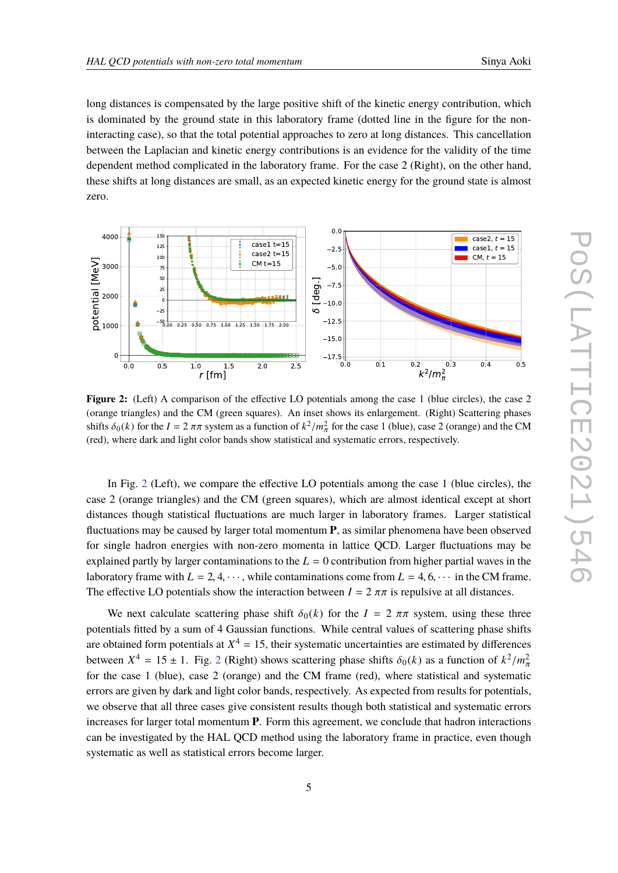long distances is compensated by the large positive shift of the kinetic energy contribution, which is dominated by the ground state in this laboratory frame (dotted line in the figure for the noninteracting case), so that the total potential approaches to zero at long distances. This cancellation between the Laplacian and kinetic energy contributions is an evidence for the validity of the time dependent method complicated in the laboratory frame. For the case 2 (Right), on the other hand, these shifts at long distances are small, as an expected kinetic energy for the ground state is almost zero.

<span id="page-4-0"></span>

**Figure 2:** (Left) A comparison of the effective LO potentials among the case 1 (blue circles), the case 2 (orange triangles) and the CM (green squares). An inset shows its enlargement. (Right) Scattering phases shifts  $\delta_0(k)$  for the  $I = 2 \pi \pi$  system as a function of  $k^2/m_\pi^2$  for the case 1 (blue), case 2 (orange) and the CM (red), where dark and light color bands show statistical and systematic errors, respectively.

In Fig. [2](#page-4-0) (Left), we compare the effective LO potentials among the case 1 (blue circles), the case 2 (orange triangles) and the CM (green squares), which are almost identical except at short distances though statistical fluctuations are much larger in laboratory frames. Larger statistical fluctuations may be caused by larger total momentum **P**, as similar phenomena have been observed for single hadron energies with non-zero momenta in lattice QCD. Larger fluctuations may be explained partly by larger contaminations to the  $L = 0$  contribution from higher partial waves in the laboratory frame with  $L = 2, 4, \dots$ , while contaminations come from  $L = 4, 6, \dots$  in the CM frame. The effective LO potentials show the interaction between  $I = 2 \pi \pi$  is repulsive at all distances.

We next calculate scattering phase shift  $\delta_0(k)$  for the  $I = 2 \pi \pi$  system, using these three potentials fitted by a sum of 4 Gaussian functions. While central values of scattering phase shifts are obtained form potentials at  $X^4 = 15$ , their systematic uncertainties are estimated by differences between  $X^4 = 15 \pm 1$ . Fig. [2](#page-4-0) (Right) shows scattering phase shifts  $\delta_0(k)$  as a function of  $k^2/m_n^2$ <br>for the same 1 (blue), asso 2 (among) and the CM frame (rad), where statistical and systematic for the case 1 (blue), case 2 (orange) and the CM frame (red), where statistical and systematic errors are given by dark and light color bands, respectively. As expected from results for potentials, we observe that all three cases give consistent results though both statistical and systematic errors increases for larger total momentum **P**. Form this agreement, we conclude that hadron interactions can be investigated by the HAL QCD method using the laboratory frame in practice, even though systematic as well as statistical errors become larger.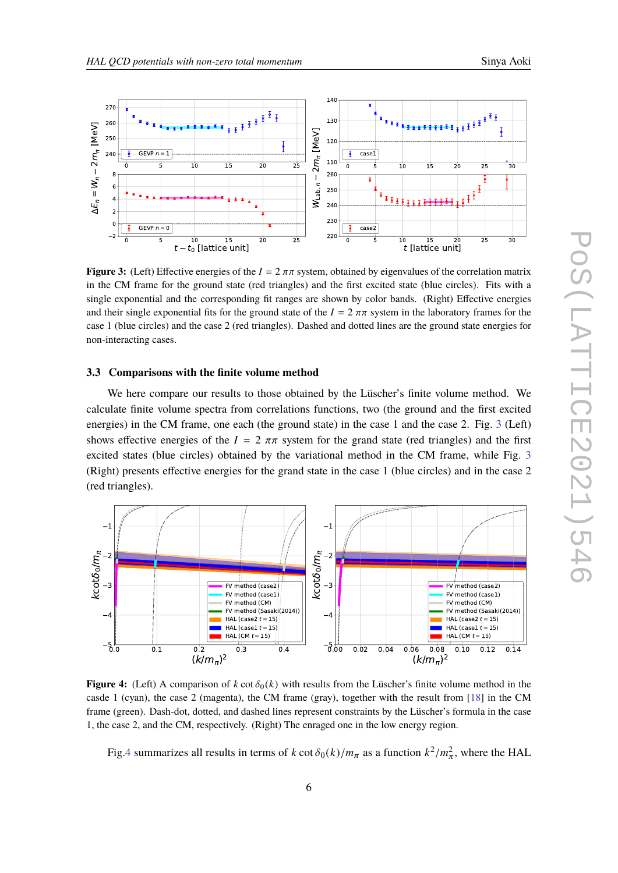<span id="page-5-0"></span>

**Figure 3:** (Left) Effective energies of the  $I = 2 \pi \pi$  system, obtained by eigenvalues of the correlation matrix in the CM frame for the ground state (red triangles) and the first excited state (blue circles). Fits with a single exponential and the corresponding fit ranges are shown by color bands. (Right) Effective energies and their single exponential fits for the ground state of the  $I = 2 \pi \pi$  system in the laboratory frames for the case 1 (blue circles) and the case 2 (red triangles). Dashed and dotted lines are the ground state energies for non-interacting cases.

#### **3.3 Comparisons with the finite volume method**

We here compare our results to those obtained by the Lüscher's finite volume method. We calculate finite volume spectra from correlations functions, two (the ground and the first excited energies) in the CM frame, one each (the ground state) in the case 1 and the case 2. Fig. [3](#page-5-0) (Left) shows effective energies of the  $I = 2 \pi \pi$  system for the grand state (red triangles) and the first excited states (blue circles) obtained by the variational method in the CM frame, while Fig. [3](#page-5-0) (Right) presents effective energies for the grand state in the case 1 (blue circles) and in the case 2 (red triangles).

<span id="page-5-1"></span>

**Figure 4:** (Left) A comparison of  $k \cot \delta_0(k)$  with results from the Lüscher's finite volume method in the casde 1 (cyan), the case 2 (magenta), the CM frame (gray), together with the result from [\[18\]](#page-7-8) in the CM frame (green). Dash-dot, dotted, and dashed lines represent constraints by the Lüscher's formula in the case 1, the case 2, and the CM, respectively. (Right) The enraged one in the low energy region.

Fig[.4](#page-5-1) summarizes all results in terms of *k* cot  $\delta_0(k)/m_\pi$  as a function  $k^2/m_\pi^2$ , where the HAL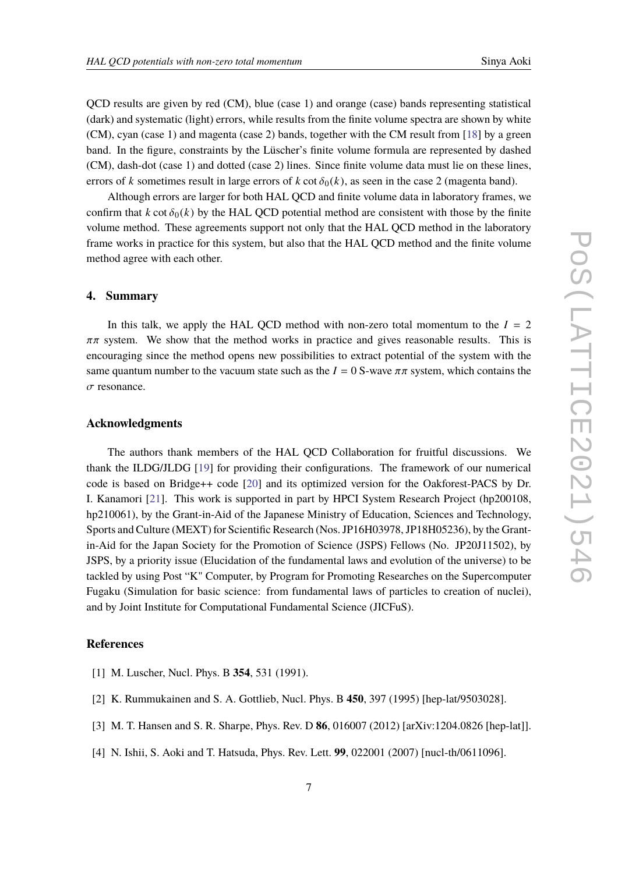QCD results are given by red (CM), blue (case 1) and orange (case) bands representing statistical (dark) and systematic (light) errors, while results from the finite volume spectra are shown by white (CM), cyan (case 1) and magenta (case 2) bands, together with the CM result from [\[18\]](#page-7-8) by a green band. In the figure, constraints by the Lüscher's finite volume formula are represented by dashed (CM), dash-dot (case 1) and dotted (case 2) lines. Since finite volume data must lie on these lines, errors of *k* sometimes result in large errors of *k* cot  $\delta_0(k)$ , as seen in the case 2 (magenta band).

Although errors are larger for both HAL QCD and finite volume data in laboratory frames, we confirm that  $k \cot \delta_0(k)$  by the HAL OCD potential method are consistent with those by the finite volume method. These agreements support not only that the HAL QCD method in the laboratory frame works in practice for this system, but also that the HAL QCD method and the finite volume method agree with each other.

## **4. Summary**

In this talk, we apply the HAL OCD method with non-zero total momentum to the  $I = 2$  $\pi\pi$  system. We show that the method works in practice and gives reasonable results. This is encouraging since the method opens new possibilities to extract potential of the system with the same quantum number to the vacuum state such as the  $I = 0$  S-wave  $\pi \pi$  system, which contains the  $\sigma$  resonance.

## **Acknowledgments**

The authors thank members of the HAL QCD Collaboration for fruitful discussions. We thank the ILDG/JLDG [\[19\]](#page-7-9) for providing their configurations. The framework of our numerical code is based on Bridge++ code [\[20\]](#page-7-10) and its optimized version for the Oakforest-PACS by Dr. I. Kanamori [\[21\]](#page-7-11). This work is supported in part by HPCI System Research Project (hp200108, hp210061), by the Grant-in-Aid of the Japanese Ministry of Education, Sciences and Technology, Sports and Culture (MEXT) for Scientific Research (Nos. JP16H03978, JP18H05236), by the Grantin-Aid for the Japan Society for the Promotion of Science (JSPS) Fellows (No. JP20J11502), by JSPS, by a priority issue (Elucidation of the fundamental laws and evolution of the universe) to be tackled by using Post "K" Computer, by Program for Promoting Researches on the Supercomputer Fugaku (Simulation for basic science: from fundamental laws of particles to creation of nuclei), and by Joint Institute for Computational Fundamental Science (JICFuS).

# **References**

- <span id="page-6-0"></span>[1] M. Luscher, Nucl. Phys. B **354**, 531 (1991).
- [2] K. Rummukainen and S. A. Gottlieb, Nucl. Phys. B **450**, 397 (1995) [hep-lat/9503028].
- <span id="page-6-1"></span>[3] M. T. Hansen and S. R. Sharpe, Phys. Rev. D **86**, 016007 (2012) [arXiv:1204.0826 [hep-lat]].
- <span id="page-6-2"></span>[4] N. Ishii, S. Aoki and T. Hatsuda, Phys. Rev. Lett. **99**, 022001 (2007) [nucl-th/0611096].